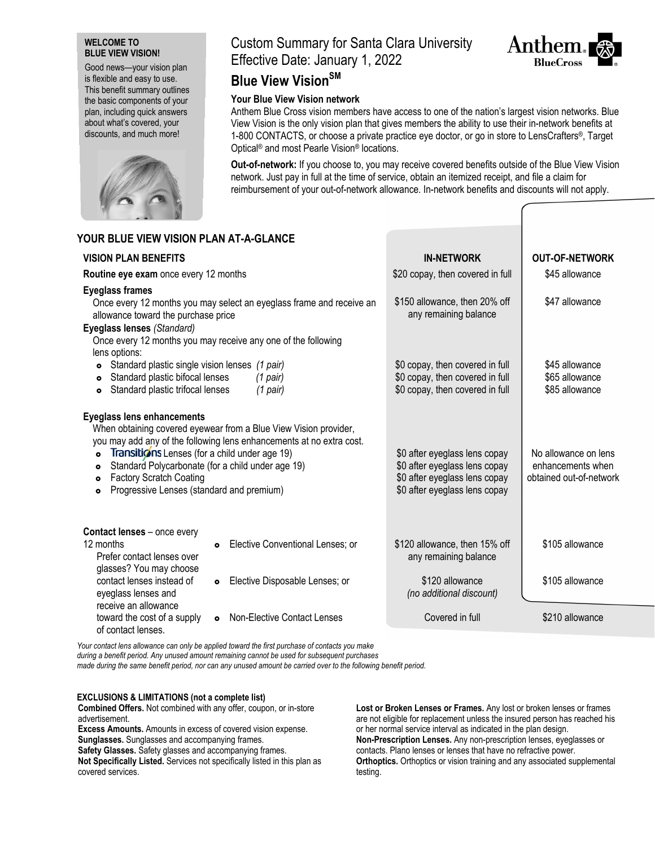## **WELCOME TO BLUE VIEW VISION!**

Good news—your vision plan is flexible and easy to use. This benefit summary outlines the basic components of your plan, including quick answers about what's covered, your discounts, and much more!



# Custom Summary for Santa Clara University Effective Date: January 1, 2022



## **Blue View VisionSM**

## **Your Blue View Vision network**

Anthem Blue Cross vision members have access to one of the nation's largest vision networks. Blue View Vision is the only vision plan that gives members the ability to use their in-network benefits at 1-800 CONTACTS, or choose a private practice eye doctor, or go in store to LensCrafters®, Target Optical® and most Pearle Vision® locations.

**Out-of-network:** If you choose to, you may receive covered benefits outside of the Blue View Vision network. Just pay in full at the time of service, obtain an itemized receipt, and file a claim for reimbursement of your out-of-network allowance. In-network benefits and discounts will not apply.

| YOUR BLUE VIEW VISION PLAN AT-A-GLANCE                                                                                                                                                                                                                                                                                                                                                                         |                                               |                                                                                                                                  |                                                                      |
|----------------------------------------------------------------------------------------------------------------------------------------------------------------------------------------------------------------------------------------------------------------------------------------------------------------------------------------------------------------------------------------------------------------|-----------------------------------------------|----------------------------------------------------------------------------------------------------------------------------------|----------------------------------------------------------------------|
| <b>VISION PLAN BENEFITS</b>                                                                                                                                                                                                                                                                                                                                                                                    |                                               | <b>IN-NETWORK</b>                                                                                                                | <b>OUT-OF-NETWORK</b>                                                |
| Routine eye exam once every 12 months                                                                                                                                                                                                                                                                                                                                                                          |                                               | \$20 copay, then covered in full                                                                                                 | \$45 allowance                                                       |
| <b>Eyeglass frames</b><br>Once every 12 months you may select an eyeglass frame and receive an<br>allowance toward the purchase price<br>Eyeglass lenses (Standard)<br>Once every 12 months you may receive any one of the following                                                                                                                                                                           |                                               | \$150 allowance, then 20% off<br>any remaining balance                                                                           | \$47 allowance                                                       |
| lens options:<br>Standard plastic single vision lenses (1 pair)<br>$\bullet$<br>Standard plastic bifocal lenses<br>$\circ$<br>Standard plastic trifocal lenses<br>$\bullet$                                                                                                                                                                                                                                    | $(1$ pair)<br>(1 pair)                        | \$0 copay, then covered in full<br>\$0 copay, then covered in full<br>\$0 copay, then covered in full                            | \$45 allowance<br>\$65 allowance<br>\$85 allowance                   |
| <b>Eyeglass lens enhancements</b><br>When obtaining covered eyewear from a Blue View Vision provider,<br>you may add any of the following lens enhancements at no extra cost.<br>Transitions Lenses (for a child under age 19)<br>$\bullet$<br>Standard Polycarbonate (for a child under age 19)<br>۰<br><b>Factory Scratch Coating</b><br>$\bullet$<br>Progressive Lenses (standard and premium)<br>$\bullet$ |                                               | \$0 after eyeglass lens copay<br>\$0 after eyeglass lens copay<br>\$0 after eyeglass lens copay<br>\$0 after eyeglass lens copay | No allowance on lens<br>enhancements when<br>obtained out-of-network |
| Contact lenses - once every<br>12 months<br>Prefer contact lenses over<br>glasses? You may choose                                                                                                                                                                                                                                                                                                              | Elective Conventional Lenses; or<br>$\bullet$ | \$120 allowance, then 15% off<br>any remaining balance                                                                           | \$105 allowance                                                      |
| contact lenses instead of<br>eyeglass lenses and<br>receive an allowance                                                                                                                                                                                                                                                                                                                                       | Elective Disposable Lenses; or<br>$\bullet$   | \$120 allowance<br>(no additional discount)                                                                                      | \$105 allowance                                                      |
| toward the cost of a supply<br>of contact lenses.                                                                                                                                                                                                                                                                                                                                                              | <b>Non-Elective Contact Lenses</b>            | Covered in full                                                                                                                  | \$210 allowance                                                      |

*Your contact lens allowance can only be applied toward the first purchase of contacts you make*

*during a benefit period. Any unused amount remaining cannot be used for subsequent purchases made during the same benefit period, nor can any unused amount be carried over to the following benefit period.* 

## **EXCLUSIONS & LIMITATIONS (not a complete list)**

**Combined Offers.** Not combined with any offer, coupon, or in-store advertisement.

**Excess Amounts.** Amounts in excess of covered vision expense. **Sunglasses.** Sunglasses and accompanying frames.

**Safety Glasses.** Safety glasses and accompanying frames.

**Not Specifically Listed.** Services not specifically listed in this plan as covered services.

**Lost or Broken Lenses or Frames.** Any lost or broken lenses or frames are not eligible for replacement unless the insured person has reached his or her normal service interval as indicated in the plan design. **Non-Prescription Lenses.** Any non-prescription lenses, eyeglasses or contacts. Plano lenses or lenses that have no refractive power. **Orthoptics.** Orthoptics or vision training and any associated supplemental testing.